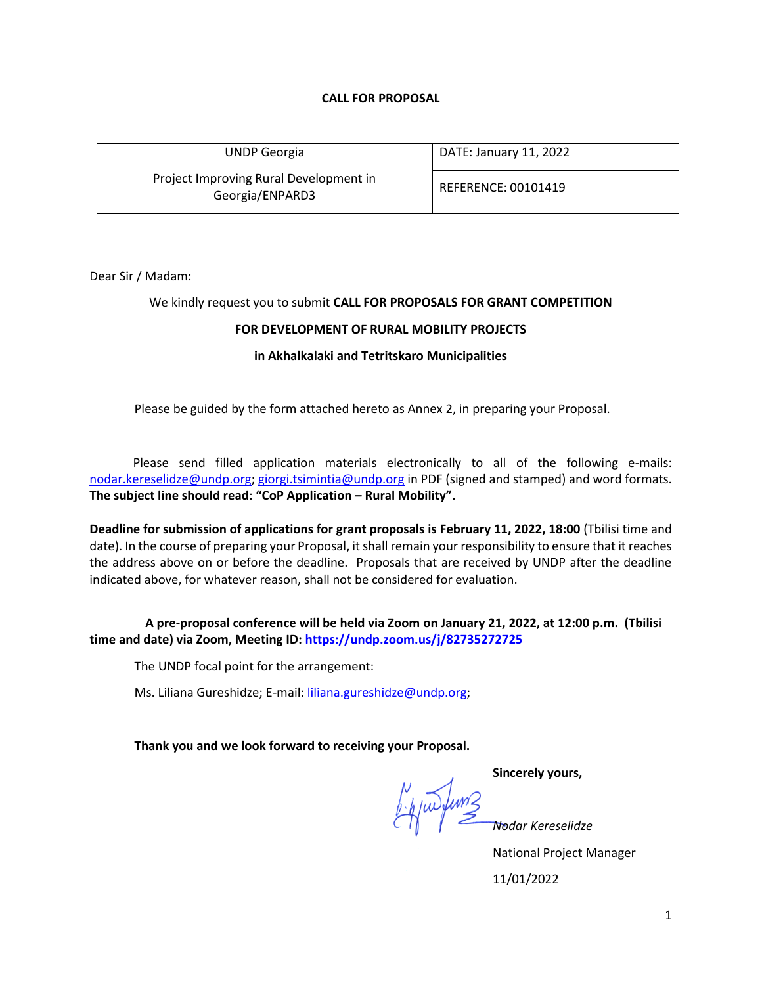## **CALL FOR PROPOSAL**

| <b>UNDP</b> Georgia                                       | DATE: January 11, 2022 |  |
|-----------------------------------------------------------|------------------------|--|
| Project Improving Rural Development in<br>Georgia/ENPARD3 | REFERENCE: 00101419    |  |

Dear Sir / Madam:

### We kindly request you to submit **CALL FOR PROPOSALS FOR GRANT COMPETITION**

## **FOR DEVELOPMENT OF RURAL MOBILITY PROJECTS**

### **in Akhalkalaki and Tetritskaro Municipalities**

Please be guided by the form attached hereto as Annex 2, in preparing your Proposal.

 Please send filled application materials electronically to all of the following e-mails: [nodar.kereselidze@undp.org;](mailto:nodar.kereselidze@undp.org) [giorgi.tsimintia@undp.org](mailto:giorgi.tsimintia@undp.org) in PDF (signed and stamped) and word formats. **The subject line should read**: **"CoP Application – Rural Mobility".**

**Deadline for submission of applications for grant proposals is February 11, 2022, 18:00** (Tbilisi time and date). In the course of preparing your Proposal, it shall remain your responsibility to ensure that it reaches the address above on or before the deadline. Proposals that are received by UNDP after the deadline indicated above, for whatever reason, shall not be considered for evaluation.

 **A pre-proposal conference will be held via Zoom on January 21, 2022, at 12:00 p.m. (Tbilisi time and date) via Zoom, Meeting ID: <https://undp.zoom.us/j/82735272725>**

The UNDP focal point for the arrangement:

Ms. Liliana Gureshidze; E-mail: [liliana.gureshidze@undp.org;](mailto:liliana.gureshidze@undp.org)

**Thank you and we look forward to receiving your Proposal.**

*Nodar Kereselidze*

**Sincerely yours,**

National Project Manager

11/01/2022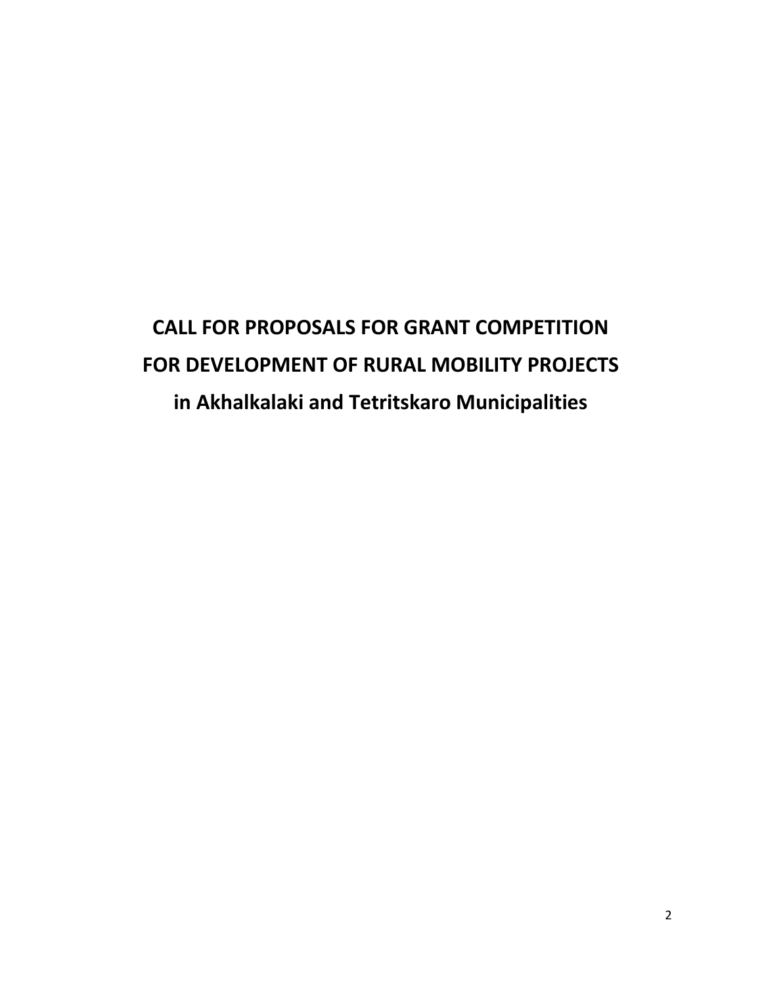# **CALL FOR PROPOSALS FOR GRANT COMPETITION FOR DEVELOPMENT OF RURAL MOBILITY PROJECTS in Akhalkalaki and Tetritskaro Municipalities**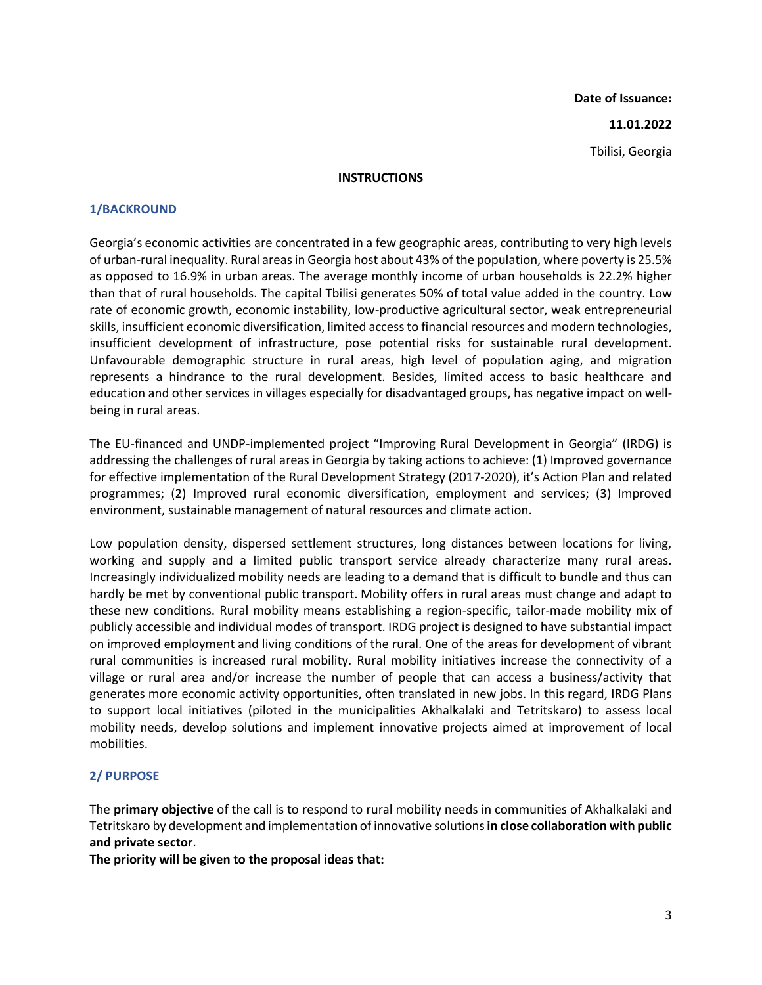**Date of Issuance:**

#### **11.01.2022**

Tbilisi, Georgia

#### **INSTRUCTIONS**

### **1/BACKROUND**

Georgia's economic activities are concentrated in a few geographic areas, contributing to very high levels of urban-rural inequality. Rural areas in Georgia host about 43% of the population, where poverty is 25.5% as opposed to 16.9% in urban areas. The average monthly income of urban households is 22.2% higher than that of rural households. The capital Tbilisi generates 50% of total value added in the country. Low rate of economic growth, economic instability, low-productive agricultural sector, weak entrepreneurial skills, insufficient economic diversification, limited access to financial resources and modern technologies, insufficient development of infrastructure, pose potential risks for sustainable rural development. Unfavourable demographic structure in rural areas, high level of population aging, and migration represents a hindrance to the rural development. Besides, limited access to basic healthcare and education and other services in villages especially for disadvantaged groups, has negative impact on wellbeing in rural areas.

The EU-financed and UNDP-implemented project "Improving Rural Development in Georgia" (IRDG) is addressing the challenges of rural areas in Georgia by taking actions to achieve: (1) Improved governance for effective implementation of the Rural Development Strategy (2017-2020), it's Action Plan and related programmes; (2) Improved rural economic diversification, employment and services; (3) Improved environment, sustainable management of natural resources and climate action.

Low population density, dispersed settlement structures, long distances between locations for living, working and supply and a limited public transport service already characterize many rural areas. Increasingly individualized mobility needs are leading to a demand that is difficult to bundle and thus can hardly be met by conventional public transport. Mobility offers in rural areas must change and adapt to these new conditions. Rural mobility means establishing a region-specific, tailor-made mobility mix of publicly accessible and individual modes of transport. IRDG project is designed to have substantial impact on improved employment and living conditions of the rural. One of the areas for development of vibrant rural communities is increased rural mobility. Rural mobility initiatives increase the connectivity of a village or rural area and/or increase the number of people that can access a business/activity that generates more economic activity opportunities, often translated in new jobs. In this regard, IRDG Plans to support local initiatives (piloted in the municipalities Akhalkalaki and Tetritskaro) to assess local mobility needs, develop solutions and implement innovative projects aimed at improvement of local mobilities.

## **2/ PURPOSE**

The **primary objective** of the call is to respond to rural mobility needs in communities of Akhalkalaki and Tetritskaro by development and implementation of innovative solutions **in close collaboration with public and private sector**.

**The priority will be given to the proposal ideas that:**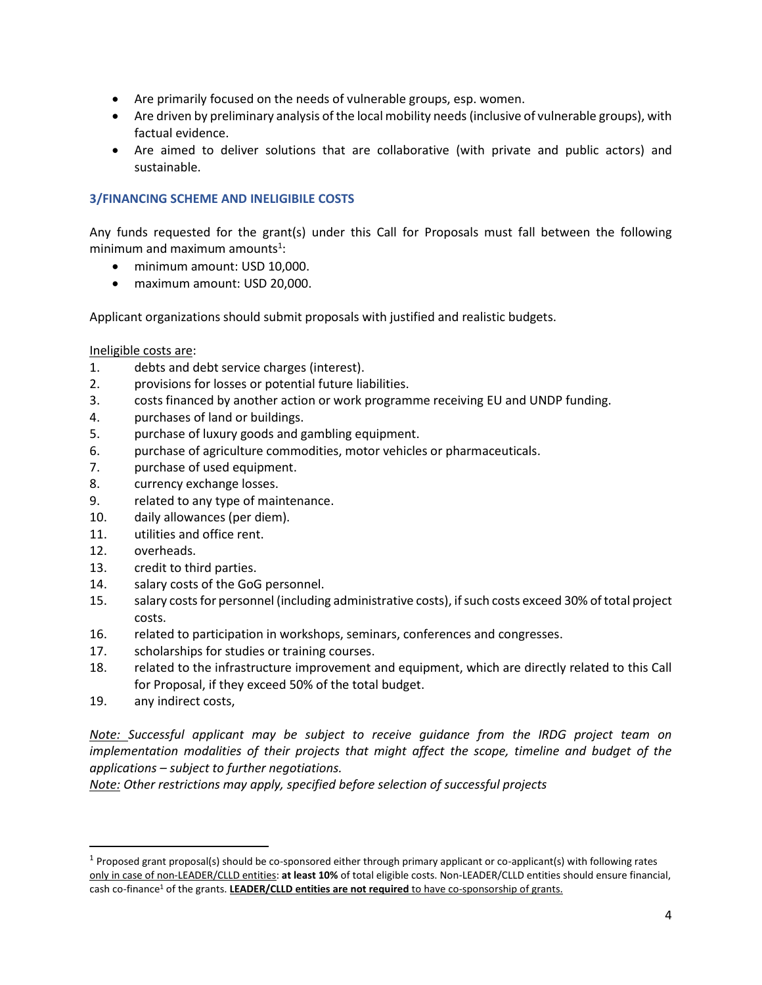- Are primarily focused on the needs of vulnerable groups, esp. women.
- Are driven by preliminary analysis of the local mobility needs (inclusive of vulnerable groups), with factual evidence.
- Are aimed to deliver solutions that are collaborative (with private and public actors) and sustainable.

## **3/FINANCING SCHEME AND INELIGIBILE COSTS**

Any funds requested for the grant(s) under this Call for Proposals must fall between the following minimum and maximum amounts $^{1}$ :

- minimum amount: USD 10.000.
- maximum amount: USD 20,000.

Applicant organizations should submit proposals with justified and realistic budgets.

### Ineligible costs are:

- 1. debts and debt service charges (interest).
- 2. provisions for losses or potential future liabilities.
- 3. costs financed by another action or work programme receiving EU and UNDP funding.
- 4. purchases of land or buildings.
- 5. purchase of luxury goods and gambling equipment.
- 6. purchase of agriculture commodities, motor vehicles or pharmaceuticals.
- 7. purchase of used equipment.
- 8. currency exchange losses.
- 9. related to any type of maintenance.
- 10. daily allowances (per diem).
- 11. utilities and office rent.
- 12. overheads.
- 13. credit to third parties.
- 14. salary costs of the GoG personnel.
- 15. salary costs for personnel (including administrative costs), if such costs exceed 30% of total project costs.
- 16. related to participation in workshops, seminars, conferences and congresses.
- 17. scholarships for studies or training courses.
- 18. related to the infrastructure improvement and equipment, which are directly related to this Call for Proposal, if they exceed 50% of the total budget.
- 19. any indirect costs,

*Note: Successful applicant may be subject to receive guidance from the IRDG project team on implementation modalities of their projects that might affect the scope, timeline and budget of the applications – subject to further negotiations.* 

*Note: Other restrictions may apply, specified before selection of successful projects* 

 $1$  Proposed grant proposal(s) should be co-sponsored either through primary applicant or co-applicant(s) with following rates only in case of non-LEADER/CLLD entities: **at least 10%** of total eligible costs. Non-LEADER/CLLD entities should ensure financial, cash co-finance<sup>1</sup> of the grants. **LEADER/CLLD entities are not required** to have co-sponsorship of grants.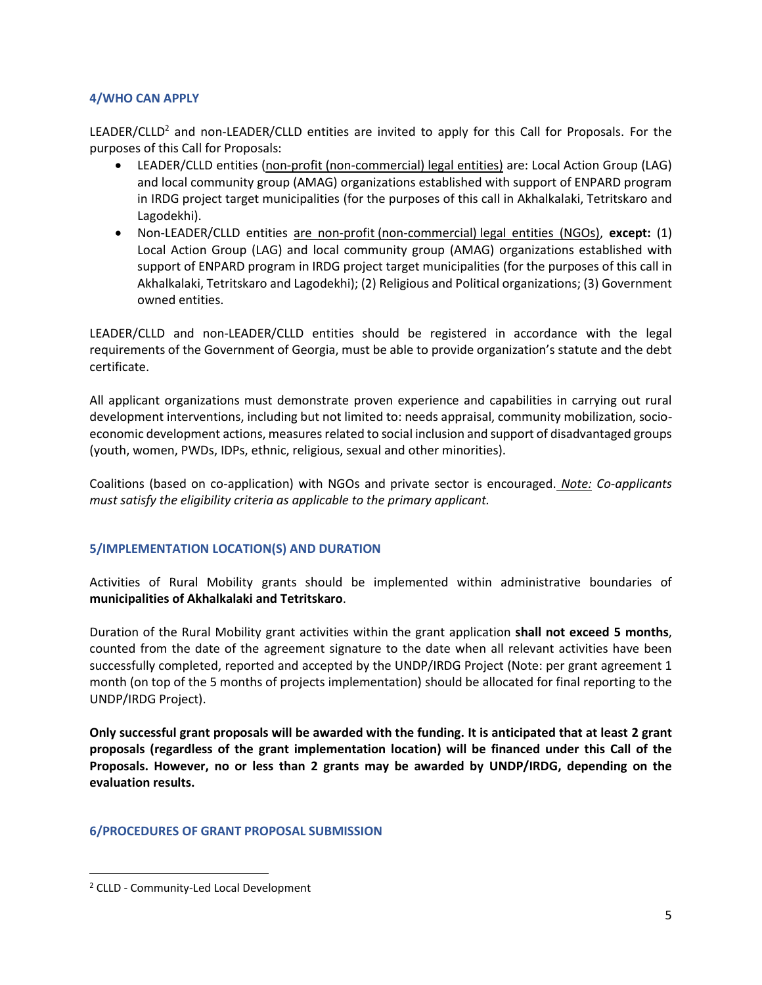## **4/WHO CAN APPLY**

LEADER/CLLD<sup>2</sup> and non-LEADER/CLLD entities are invited to apply for this Call for Proposals. For the purposes of this Call for Proposals:

- LEADER/CLLD entities (non-profit (non-commercial) legal entities) are: Local Action Group (LAG) and local community group (AMAG) organizations established with support of ENPARD program in IRDG project target municipalities (for the purposes of this call in Akhalkalaki, Tetritskaro and Lagodekhi).
- Non-LEADER/CLLD entities are non-profit (non-commercial) legal entities (NGOs), **except:** (1) Local Action Group (LAG) and local community group (AMAG) organizations established with support of ENPARD program in IRDG project target municipalities (for the purposes of this call in Akhalkalaki, Tetritskaro and Lagodekhi); (2) Religious and Political organizations; (3) Government owned entities.

LEADER/CLLD and non-LEADER/CLLD entities should be registered in accordance with the legal requirements of the Government of Georgia, must be able to provide organization's statute and the debt certificate.

All applicant organizations must demonstrate proven experience and capabilities in carrying out rural development interventions, including but not limited to: needs appraisal, community mobilization, socioeconomic development actions, measures related to social inclusion and support of disadvantaged groups (youth, women, PWDs, IDPs, ethnic, religious, sexual and other minorities).

Coalitions (based on co-application) with NGOs and private sector is encouraged. *Note: Co-applicants must satisfy the eligibility criteria as applicable to the primary applicant.*

## **5/IMPLEMENTATION LOCATION(S) AND DURATION**

Activities of Rural Mobility grants should be implemented within administrative boundaries of **municipalities of Akhalkalaki and Tetritskaro**.

Duration of the Rural Mobility grant activities within the grant application **shall not exceed 5 months**, counted from the date of the agreement signature to the date when all relevant activities have been successfully completed, reported and accepted by the UNDP/IRDG Project (Note: per grant agreement 1 month (on top of the 5 months of projects implementation) should be allocated for final reporting to the UNDP/IRDG Project).

**Only successful grant proposals will be awarded with the funding. It is anticipated that at least 2 grant proposals (regardless of the grant implementation location) will be financed under this Call of the Proposals. However, no or less than 2 grants may be awarded by UNDP/IRDG, depending on the evaluation results.** 

## **6/PROCEDURES OF GRANT PROPOSAL SUBMISSION**

<sup>2</sup> CLLD - Community-Led Local Development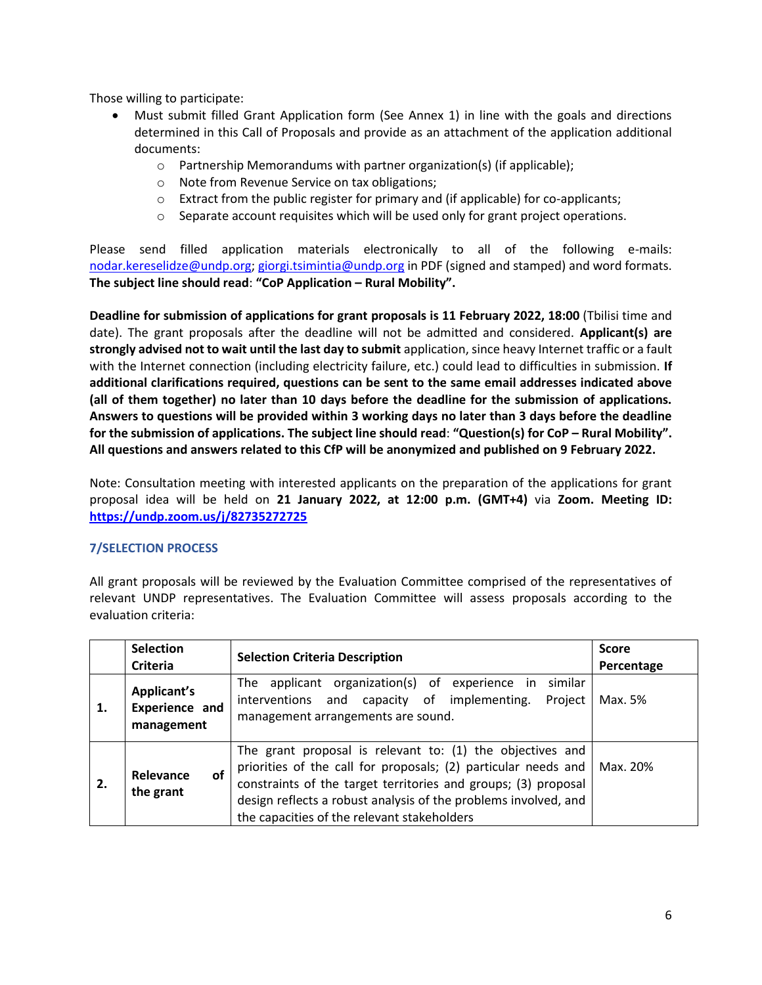Those willing to participate:

- Must submit filled Grant Application form (See Annex 1) in line with the goals and directions determined in this Call of Proposals and provide as an attachment of the application additional documents:
	- o Partnership Memorandums with partner organization(s) (if applicable);
	- o Note from Revenue Service on tax obligations;
	- o Extract from the public register for primary and (if applicable) for co-applicants;
	- $\circ$  Separate account requisites which will be used only for grant project operations.

Please send filled application materials electronically to all of the following e-mails: [nodar.kereselidze@undp.org;](mailto:nodar.kereselidze@undp.org) [giorgi.tsimintia@undp.org](mailto:giorgi.tsimintia@undp.org) in PDF (signed and stamped) and word formats. **The subject line should read**: **"CoP Application – Rural Mobility".**

**Deadline for submission of applications for grant proposals is 11 February 2022, 18:00** (Tbilisi time and date). The grant proposals after the deadline will not be admitted and considered. **Applicant(s) are strongly advised not to wait until the last day to submit** application, since heavy Internet traffic or a fault with the Internet connection (including electricity failure, etc.) could lead to difficulties in submission. **If additional clarifications required, questions can be sent to the same email addresses indicated above (all of them together) no later than 10 days before the deadline for the submission of applications. Answers to questions will be provided within 3 working days no later than 3 days before the deadline for the submission of applications. The subject line should read**: **"Question(s) for CoP – Rural Mobility". All questions and answers related to this CfP will be anonymized and published on 9 February 2022.**

Note: Consultation meeting with interested applicants on the preparation of the applications for grant proposal idea will be held on **21 January 2022, at 12:00 p.m. (GMT+4)** via **Zoom. Meeting ID: <https://undp.zoom.us/j/82735272725>**

# **7/SELECTION PROCESS**

All grant proposals will be reviewed by the Evaluation Committee comprised of the representatives of relevant UNDP representatives. The Evaluation Committee will assess proposals according to the evaluation criteria:

|                                                          | <b>Selection</b><br>Criteria | <b>Selection Criteria Description</b>                                                                                                                                                                                                                                                                           | <b>Score</b><br>Percentage |
|----------------------------------------------------------|------------------------------|-----------------------------------------------------------------------------------------------------------------------------------------------------------------------------------------------------------------------------------------------------------------------------------------------------------------|----------------------------|
| <b>Applicant's</b><br>Experience and<br>1.<br>management |                              | The applicant organization(s) of experience in similar<br>interventions and capacity of implementing.<br>Project<br>management arrangements are sound.                                                                                                                                                          | Max. 5%                    |
| 2.                                                       | Relevance<br>οf<br>the grant | The grant proposal is relevant to: (1) the objectives and<br>priorities of the call for proposals; (2) particular needs and<br>constraints of the target territories and groups; (3) proposal<br>design reflects a robust analysis of the problems involved, and<br>the capacities of the relevant stakeholders | Max. 20%                   |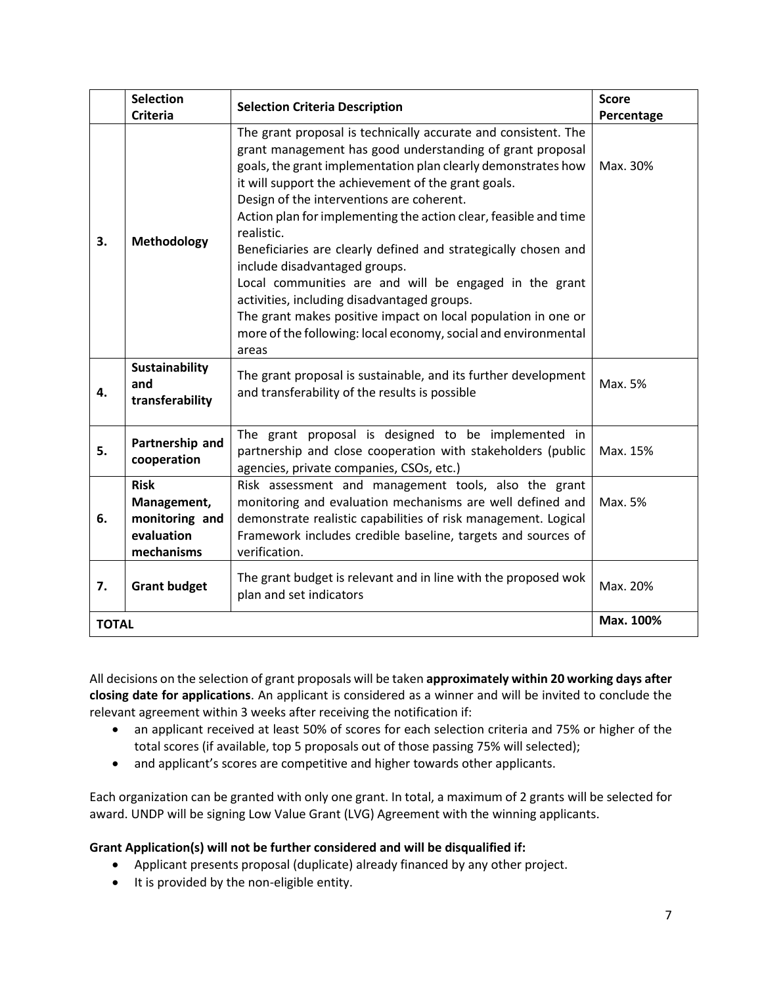|              | <b>Selection</b><br><b>Criteria</b>                                      | <b>Selection Criteria Description</b>                                                                                                                                                                                                                                                                                                                                                                                                                                                                                                                                                                                                                                                                                                      | <b>Score</b><br>Percentage |
|--------------|--------------------------------------------------------------------------|--------------------------------------------------------------------------------------------------------------------------------------------------------------------------------------------------------------------------------------------------------------------------------------------------------------------------------------------------------------------------------------------------------------------------------------------------------------------------------------------------------------------------------------------------------------------------------------------------------------------------------------------------------------------------------------------------------------------------------------------|----------------------------|
| 3.           | <b>Methodology</b>                                                       | The grant proposal is technically accurate and consistent. The<br>grant management has good understanding of grant proposal<br>goals, the grant implementation plan clearly demonstrates how<br>it will support the achievement of the grant goals.<br>Design of the interventions are coherent.<br>Action plan for implementing the action clear, feasible and time<br>realistic.<br>Beneficiaries are clearly defined and strategically chosen and<br>include disadvantaged groups.<br>Local communities are and will be engaged in the grant<br>activities, including disadvantaged groups.<br>The grant makes positive impact on local population in one or<br>more of the following: local economy, social and environmental<br>areas | Max. 30%                   |
| 4.           | Sustainability<br>and<br>transferability                                 | The grant proposal is sustainable, and its further development<br>and transferability of the results is possible                                                                                                                                                                                                                                                                                                                                                                                                                                                                                                                                                                                                                           | Max. 5%                    |
| 5.           | Partnership and<br>cooperation                                           | The grant proposal is designed to be implemented in<br>partnership and close cooperation with stakeholders (public<br>agencies, private companies, CSOs, etc.)                                                                                                                                                                                                                                                                                                                                                                                                                                                                                                                                                                             | Max. 15%                   |
| 6.           | <b>Risk</b><br>Management,<br>monitoring and<br>evaluation<br>mechanisms | Risk assessment and management tools, also the grant<br>monitoring and evaluation mechanisms are well defined and<br>demonstrate realistic capabilities of risk management. Logical<br>Framework includes credible baseline, targets and sources of<br>verification.                                                                                                                                                                                                                                                                                                                                                                                                                                                                       | Max. 5%                    |
| 7.           | <b>Grant budget</b>                                                      | The grant budget is relevant and in line with the proposed wok<br>plan and set indicators                                                                                                                                                                                                                                                                                                                                                                                                                                                                                                                                                                                                                                                  | Max. 20%                   |
| <b>TOTAL</b> |                                                                          |                                                                                                                                                                                                                                                                                                                                                                                                                                                                                                                                                                                                                                                                                                                                            | Max. 100%                  |

All decisions on the selection of grant proposals will be taken **approximately within 20 working days after closing date for applications**. An applicant is considered as a winner and will be invited to conclude the relevant agreement within 3 weeks after receiving the notification if:

- an applicant received at least 50% of scores for each selection criteria and 75% or higher of the total scores (if available, top 5 proposals out of those passing 75% will selected);
- and applicant's scores are competitive and higher towards other applicants.

Each organization can be granted with only one grant. In total, a maximum of 2 grants will be selected for award. UNDP will be signing Low Value Grant (LVG) Agreement with the winning applicants.

# **Grant Application(s) will not be further considered and will be disqualified if:**

- Applicant presents proposal (duplicate) already financed by any other project.
- It is provided by the non-eligible entity.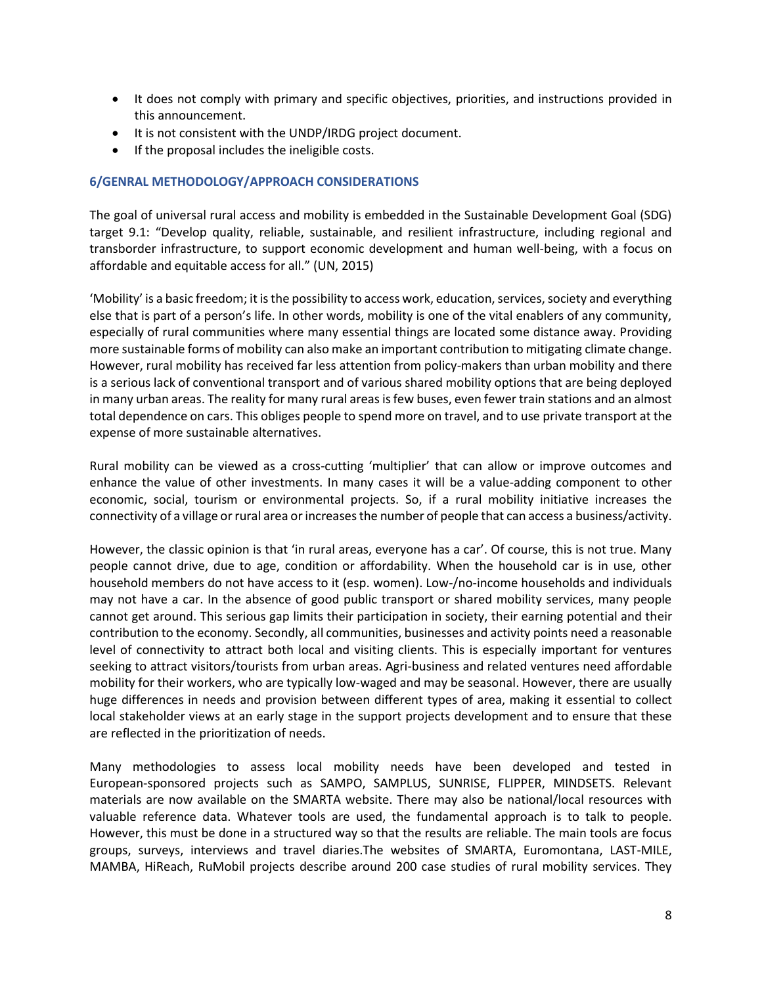- It does not comply with primary and specific objectives, priorities, and instructions provided in this announcement.
- It is not consistent with the UNDP/IRDG project document.
- If the proposal includes the ineligible costs.

## **6/GENRAL METHODOLOGY/APPROACH CONSIDERATIONS**

The goal of universal rural access and mobility is embedded in the Sustainable Development Goal (SDG) target 9.1: "Develop quality, reliable, sustainable, and resilient infrastructure, including regional and transborder infrastructure, to support economic development and human well-being, with a focus on affordable and equitable access for all." (UN, 2015)

'Mobility' is a basic freedom; it is the possibility to access work, education, services, society and everything else that is part of a person's life. In other words, mobility is one of the vital enablers of any community, especially of rural communities where many essential things are located some distance away. Providing more sustainable forms of mobility can also make an important contribution to mitigating climate change. However, rural mobility has received far less attention from policy-makers than urban mobility and there is a serious lack of conventional transport and of various shared mobility options that are being deployed in many urban areas. The reality for many rural areas is few buses, even fewer train stations and an almost total dependence on cars. This obliges people to spend more on travel, and to use private transport at the expense of more sustainable alternatives.

Rural mobility can be viewed as a cross-cutting 'multiplier' that can allow or improve outcomes and enhance the value of other investments. In many cases it will be a value-adding component to other economic, social, tourism or environmental projects. So, if a rural mobility initiative increases the connectivity of a village or rural area or increases the number of people that can access a business/activity.

However, the classic opinion is that 'in rural areas, everyone has a car'. Of course, this is not true. Many people cannot drive, due to age, condition or affordability. When the household car is in use, other household members do not have access to it (esp. women). Low-/no-income households and individuals may not have a car. In the absence of good public transport or shared mobility services, many people cannot get around. This serious gap limits their participation in society, their earning potential and their contribution to the economy. Secondly, all communities, businesses and activity points need a reasonable level of connectivity to attract both local and visiting clients. This is especially important for ventures seeking to attract visitors/tourists from urban areas. Agri-business and related ventures need affordable mobility for their workers, who are typically low-waged and may be seasonal. However, there are usually huge differences in needs and provision between different types of area, making it essential to collect local stakeholder views at an early stage in the support projects development and to ensure that these are reflected in the prioritization of needs.

Many methodologies to assess local mobility needs have been developed and tested in European-sponsored projects such as SAMPO, SAMPLUS, SUNRISE, FLIPPER, MINDSETS. Relevant materials are now available on the SMARTA website. There may also be national/local resources with valuable reference data. Whatever tools are used, the fundamental approach is to talk to people. However, this must be done in a structured way so that the results are reliable. The main tools are focus groups, surveys, interviews and travel diaries.The websites of SMARTA, Euromontana, LAST-MILE, MAMBA, HiReach, RuMobil projects describe around 200 case studies of rural mobility services. They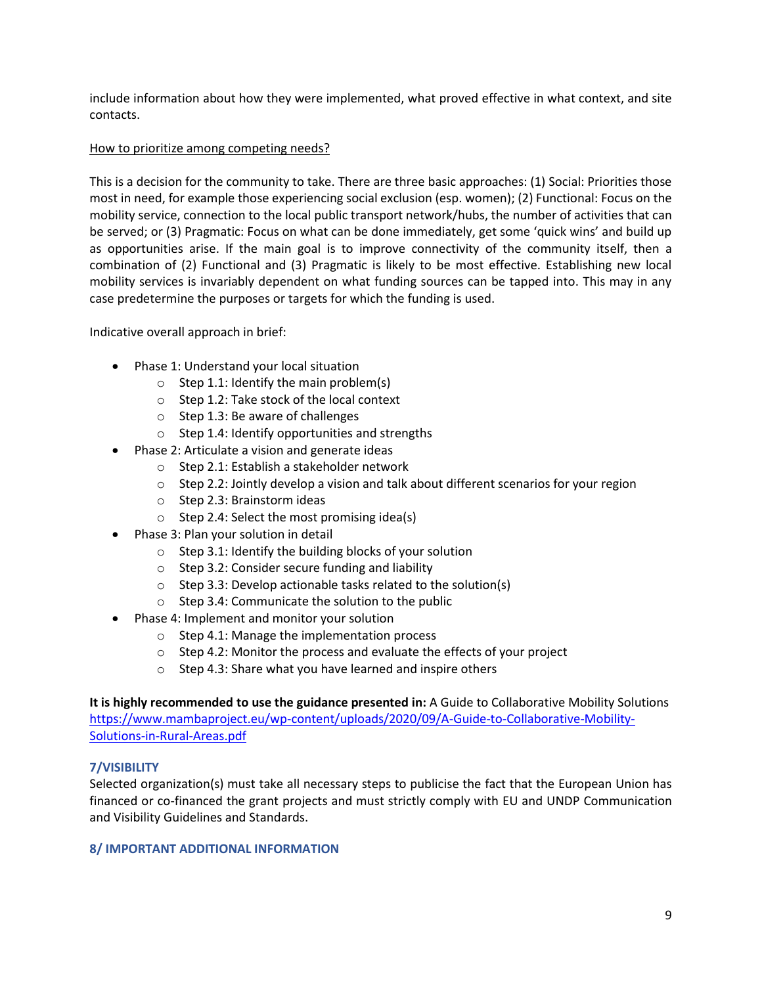include information about how they were implemented, what proved effective in what context, and site contacts.

## How to prioritize among competing needs?

This is a decision for the community to take. There are three basic approaches: (1) Social: Priorities those most in need, for example those experiencing social exclusion (esp. women); (2) Functional: Focus on the mobility service, connection to the local public transport network/hubs, the number of activities that can be served; or (3) Pragmatic: Focus on what can be done immediately, get some 'quick wins' and build up as opportunities arise. If the main goal is to improve connectivity of the community itself, then a combination of (2) Functional and (3) Pragmatic is likely to be most effective. Establishing new local mobility services is invariably dependent on what funding sources can be tapped into. This may in any case predetermine the purposes or targets for which the funding is used.

Indicative overall approach in brief:

- Phase 1: Understand your local situation
	- $\circ$  Step 1.1: Identify the main problem(s)
	- o Step 1.2: Take stock of the local context
	- o Step 1.3: Be aware of challenges
	- o Step 1.4: Identify opportunities and strengths
- Phase 2: Articulate a vision and generate ideas
	- o Step 2.1: Establish a stakeholder network
	- $\circ$  Step 2.2: Jointly develop a vision and talk about different scenarios for your region
	- o Step 2.3: Brainstorm ideas
	- $\circ$  Step 2.4: Select the most promising idea(s)
- Phase 3: Plan your solution in detail
	- o Step 3.1: Identify the building blocks of your solution
	- o Step 3.2: Consider secure funding and liability
	- o Step 3.3: Develop actionable tasks related to the solution(s)
	- o Step 3.4: Communicate the solution to the public
- Phase 4: Implement and monitor your solution
	- o Step 4.1: Manage the implementation process
	- o Step 4.2: Monitor the process and evaluate the effects of your project
	- o Step 4.3: Share what you have learned and inspire others

**It is highly recommended to use the guidance presented in:** A Guide to Collaborative Mobility Solutions [https://www.mambaproject.eu/wp-content/uploads/2020/09/A-Guide-to-Collaborative-Mobility-](https://www.mambaproject.eu/wp-content/uploads/2020/09/A-Guide-to-Collaborative-Mobility-Solutions-in-Rural-Areas.pdf)[Solutions-in-Rural-Areas.pdf](https://www.mambaproject.eu/wp-content/uploads/2020/09/A-Guide-to-Collaborative-Mobility-Solutions-in-Rural-Areas.pdf)

## **7/VISIBILITY**

Selected organization(s) must take all necessary steps to publicise the fact that the European Union has financed or co-financed the grant projects and must strictly comply with EU and UNDP Communication and Visibility Guidelines and Standards.

## **8/ IMPORTANT ADDITIONAL INFORMATION**